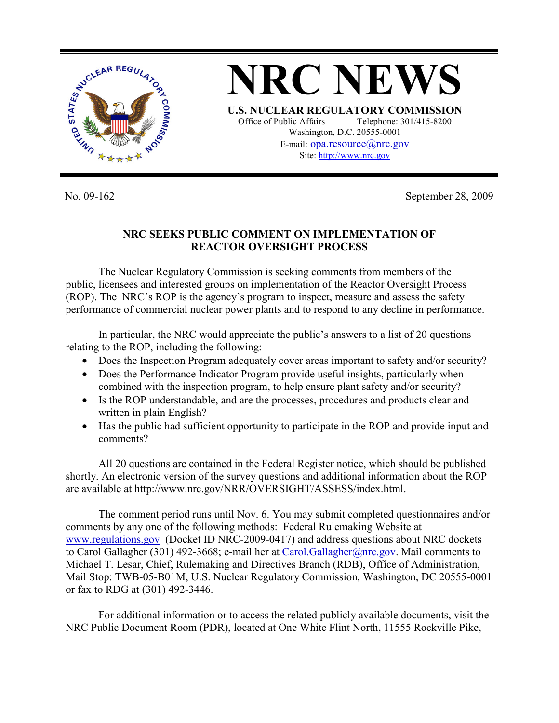

**NRC NEWS U.S. NUCLEAR REGULATORY COMMISSION** Office of Public Affairs Telephone: 301/415-8200 Washington, D.C. 20555-0001 E-mail: opa.resource@nrc.gov Site: http://www.nrc.gov

No. 09-162 September 28, 2009

## **NRC SEEKS PUBLIC COMMENT ON IMPLEMENTATION OF REACTOR OVERSIGHT PROCESS**

 The Nuclear Regulatory Commission is seeking comments from members of the public, licensees and interested groups on implementation of the Reactor Oversight Process (ROP). The NRC's ROP is the agency's program to inspect, measure and assess the safety performance of commercial nuclear power plants and to respond to any decline in performance.

 In particular, the NRC would appreciate the public's answers to a list of 20 questions relating to the ROP, including the following:

- Does the Inspection Program adequately cover areas important to safety and/or security?
- Does the Performance Indicator Program provide useful insights, particularly when combined with the inspection program, to help ensure plant safety and/or security?
- Is the ROP understandable, and are the processes, procedures and products clear and written in plain English?
- Has the public had sufficient opportunity to participate in the ROP and provide input and comments?

 All 20 questions are contained in the Federal Register notice, which should be published shortly. An electronic version of the survey questions and additional information about the ROP are available at http://www.nrc.gov/NRR/OVERSIGHT/ASSESS/index.html.

 The comment period runs until Nov. 6. You may submit completed questionnaires and/or comments by any one of the following methods: Federal Rulemaking Website at www.regulations.gov (Docket ID NRC-2009-0417) and address questions about NRC dockets to Carol Gallagher (301) 492-3668; e-mail her at Carol.Gallagher@nrc.gov. Mail comments to Michael T. Lesar, Chief, Rulemaking and Directives Branch (RDB), Office of Administration, Mail Stop: TWB-05-B01M, U.S. Nuclear Regulatory Commission, Washington, DC 20555-0001 or fax to RDG at (301) 492-3446.

 For additional information or to access the related publicly available documents, visit the NRC Public Document Room (PDR), located at One White Flint North, 11555 Rockville Pike,